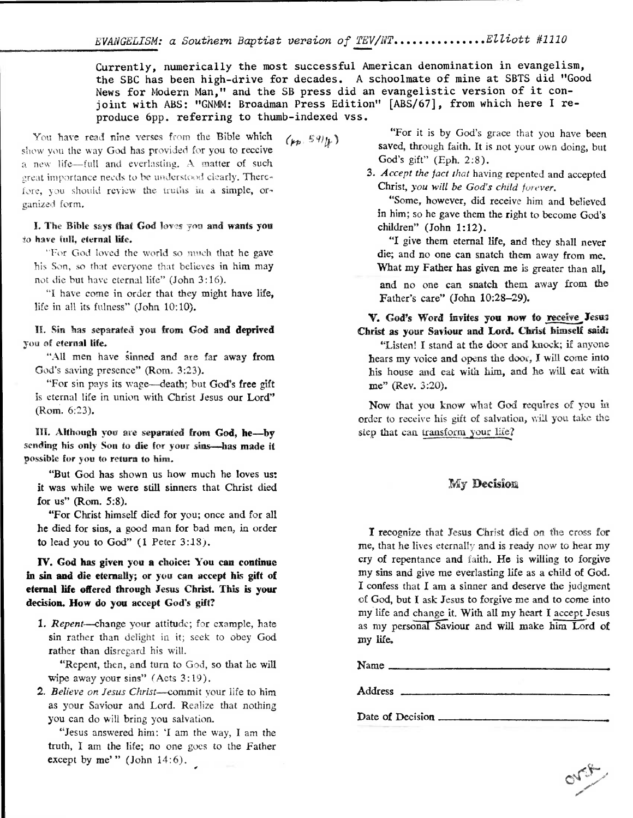Currently, numerically the most successful American denomination in evangelism, the SBC has been high-drive for decades. A schoolmate of mine at SBTS did "Good News for Modern Man," and the SB press did an evangelistic version of it conjoint with ABS: "GNMM: Broadman Press Edition" [ABS/67], from which here I reproduce 6pp. referring to thumb-indexed vss.

Yon have read nine verses from the Bible which  $(\mu_{p} S 9)_{k}$ show you the way God has provided for you to receive a new life—full and everlasting. A matter of such great importance needs to he understood clearly. Therefore, you should review the truths in a simple, organized form.

**I.** The Bible says that God loves you and wants you to have full, eternal life.

"For God loved the world so much that he gave his Son, so that everyone that believes in him may not die but have eternal life" (John 3:16).

"I have come in order that they might have life, life in all its fulness" (John 10:10).

IL Sin has separated you **from God and deprived**  you of eternal life.

"All men have iinned and are far away **from**  God's saving presence" (Rom. 3:23).

"For sin pays its wage—death; but God's free gift is eternal life in union with Christ Jesus our Lord" (Rom. 6:23).

III. Although you are separated from God, he—by sending his only Son to die for your sins-has made it possible for you to return to him.

"But God has shown us how much he loves us: it was while we were still sinners that Christ died **for us" (Rom. 5:8).** 

**"For Christ** himself died for you; once and for all he died for sins, a good man for bad men, in order **to** lead you to God" (I Peter 3:18).

### **IV. God has given you a choice: You can continue in sin and die eternally; or you can accept his gift of eternal life offered through Jesus Christ. This is your decision. How do you accept God's gift?**

*1. Repent —change* your attitude; for example, hate sin rather than delight in it; seek to obey God rather than disregard his will.

"Repent, then, and turn to God, so that he will wipe away your sins" (Acts 3:19).

*2. Believe on Jesus Christ—commit* your life to him as your Saviour and Lord. Realize that nothing you can do will bring you salvation.

"Jesus answered him: 'I am the way, **I** am the truth, **I** am the life; no one goes to the Father except by me'" (John  $14:6$ ).

"For it is by God's grace that you have been saved, through faith. It is not your own doing, but God's gift" (Eph. 2:8).

*3. Accept the fact that* having repented and accepted Christ, *you will be God's child forever.* 

"Some, however, did receive him and believed in him; so he gave them the right to become God's children" (John 1:12).

"I give them eternal life, and they shall never die; and no one can snatch them away from me. What my Father has given me is greater than all,

and no one can snatch them away from the Father's care" (John 10:28-29).

V. God's **Word invites you now fo** receive Yesus Christ as your **Saviour and Lord. Christ himself said:** 

"Listen! I stand at the door and knock; if anyone hears my voice and opens the door, **I** will come into his house and eat with him, and he will eat with me" (Rev. 3:20).

Now that you know what God requires of you hi order to receive his gift of salvation, will you take the step that can transform your life?

### **My Decision**

I recognize that Jesus Christ died on the cross for me, that he lives eternally and is ready now to hear my cry of repentance and faith. **He is willing to forgive my sins** and give me everlasting life as a child of God. I confess that I am a sinner and deserve the judgment of God, but I ask Jesus to forgive me and to come into my life and change it. With all my heart I accept Jesus as my personal Saviour and will make him Lord of **my life.** 

ong

Name

Address

**Date of Decision**